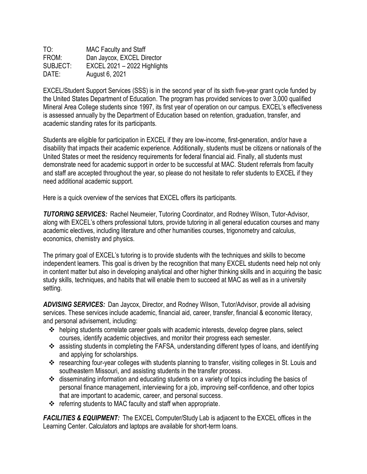| TO:      | <b>MAC Faculty and Staff</b> |
|----------|------------------------------|
| FROM:    | Dan Jaycox, EXCEL Director   |
| SUBJECT: | EXCEL 2021 - 2022 Highlights |
| DATE:    | August 6, 2021               |

EXCEL/Student Support Services (SSS) is in the second year of its sixth five-year grant cycle funded by the United States Department of Education. The program has provided services to over 3,000 qualified Mineral Area College students since 1997, its first year of operation on our campus. EXCEL's effectiveness is assessed annually by the Department of Education based on retention, graduation, transfer, and academic standing rates for its participants.

Students are eligible for participation in EXCEL if they are low-income, first-generation, and/or have a disability that impacts their academic experience. Additionally, students must be citizens or nationals of the United States or meet the residency requirements for federal financial aid. Finally, all students must demonstrate need for academic support in order to be successful at MAC. Student referrals from faculty and staff are accepted throughout the year, so please do not hesitate to refer students to EXCEL if they need additional academic support.

Here is a quick overview of the services that EXCEL offers its participants.

*TUTORING SERVICES:* Rachel Neumeier, Tutoring Coordinator, and Rodney Wilson, Tutor-Advisor, along with EXCEL's others professional tutors, provide tutoring in all general education courses and many academic electives, including literature and other humanities courses, trigonometry and calculus, economics, chemistry and physics.

The primary goal of EXCEL's tutoring is to provide students with the techniques and skills to become independent learners. This goal is driven by the recognition that many EXCEL students need help not only in content matter but also in developing analytical and other higher thinking skills and in acquiring the basic study skills, techniques, and habits that will enable them to succeed at MAC as well as in a university setting.

*ADVISING SERVICES:* Dan Jaycox, Director, and Rodney Wilson, Tutor/Advisor, provide all advising services. These services include academic, financial aid, career, transfer, financial & economic literacy, and personal advisement, including:

- helping students correlate career goals with academic interests, develop degree plans, select courses, identify academic objectives, and monitor their progress each semester.
- \* assisting students in completing the FAFSA, understanding different types of loans, and identifying and applying for scholarships.
- \* researching four-year colleges with students planning to transfer, visiting colleges in St. Louis and southeastern Missouri, and assisting students in the transfer process.
- disseminating information and educating students on a variety of topics including the basics of personal finance management, interviewing for a job, improving self-confidence, and other topics that are important to academic, career, and personal success.
- $\div$  referring students to MAC faculty and staff when appropriate.

*FACILITIES & EQUIPMENT:* The EXCEL Computer/Study Lab is adjacent to the EXCEL offices in the Learning Center. Calculators and laptops are available for short-term loans.